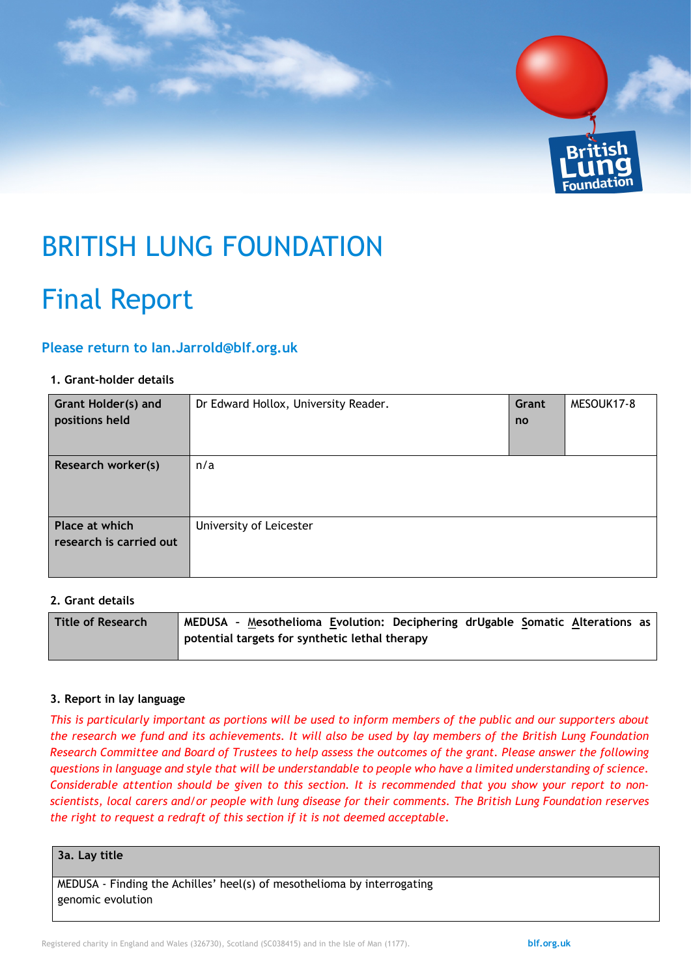

# BRITISH LUNG FOUNDATION

# Final Report

# **Please return to [Ian.Jarrold@blf.org.uk](mailto:Ian.Jarrold@blf.org.uk)**

#### **1. Grant-holder details**

| <b>Grant Holder(s) and</b><br>positions held | Dr Edward Hollox, University Reader. | Grant<br><b>no</b> | MESOUK17-8 |
|----------------------------------------------|--------------------------------------|--------------------|------------|
| Research worker(s)                           | n/a                                  |                    |            |
| Place at which<br>research is carried out    | University of Leicester              |                    |            |

### **2. Grant details**

| <b>Title of Research</b> | MEDUSA - Mesothelioma Evolution: Deciphering drUgable Somatic Alterations as |
|--------------------------|------------------------------------------------------------------------------|
|                          | potential targets for synthetic lethal therapy                               |
|                          |                                                                              |

#### **3. Report in lay language**

*This is particularly important as portions will be used to inform members of the public and our supporters about the research we fund and its achievements. It will also be used by lay members of the British Lung Foundation Research Committee and Board of Trustees to help assess the outcomes of the grant. Please answer the following questions in language and style that will be understandable to people who have a limited understanding of science. Considerable attention should be given to this section. It is recommended that you show your report to nonscientists, local carers and/or people with lung disease for their comments. The British Lung Foundation reserves the right to request a redraft of this section if it is not deemed acceptable.*

#### **3a. Lay title**

MEDUSA - Finding the Achilles' heel(s) of mesothelioma by interrogating genomic evolution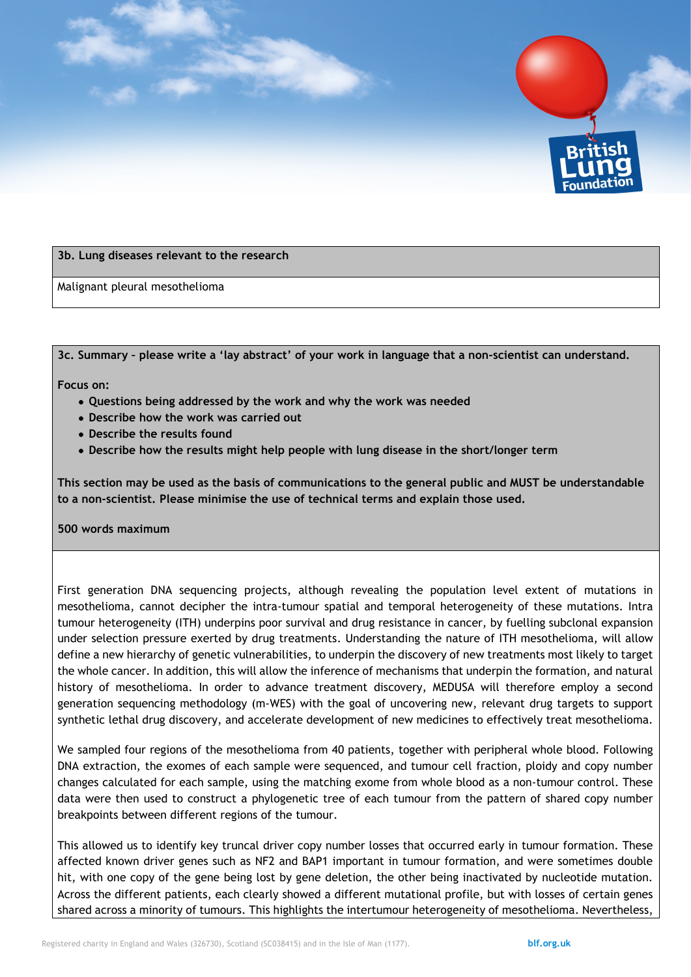

#### **3b. Lung diseases relevant to the research**

Malignant pleural mesothelioma

**3c. Summary – please write a 'lay abstract' of your work in language that a non-scientist can understand.** 

**Focus on:** 

- **Questions being addressed by the work and why the work was needed**
- **Describe how the work was carried out**
- **Describe the results found**
- **Describe how the results might help people with lung disease in the short/longer term**

**This section may be used as the basis of communications to the general public and MUST be understandable to a non-scientist. Please minimise the use of technical terms and explain those used.** 

#### **500 words maximum**

First generation DNA sequencing projects, although revealing the population level extent of mutations in mesothelioma, cannot decipher the intra-tumour spatial and temporal heterogeneity of these mutations. Intra tumour heterogeneity (ITH) underpins poor survival and drug resistance in cancer, by fuelling subclonal expansion under selection pressure exerted by drug treatments. Understanding the nature of ITH mesothelioma, will allow define a new hierarchy of genetic vulnerabilities, to underpin the discovery of new treatments most likely to target the whole cancer. In addition, this will allow the inference of mechanisms that underpin the formation, and natural history of mesothelioma. In order to advance treatment discovery, MEDUSA will therefore employ a second generation sequencing methodology (m-WES) with the goal of uncovering new, relevant drug targets to support synthetic lethal drug discovery, and accelerate development of new medicines to effectively treat mesothelioma.

We sampled four regions of the mesothelioma from 40 patients, together with peripheral whole blood. Following DNA extraction, the exomes of each sample were sequenced, and tumour cell fraction, ploidy and copy number changes calculated for each sample, using the matching exome from whole blood as a non-tumour control. These data were then used to construct a phylogenetic tree of each tumour from the pattern of shared copy number breakpoints between different regions of the tumour.

This allowed us to identify key truncal driver copy number losses that occurred early in tumour formation. These affected known driver genes such as NF2 and BAP1 important in tumour formation, and were sometimes double hit, with one copy of the gene being lost by gene deletion, the other being inactivated by nucleotide mutation. Across the different patients, each clearly showed a different mutational profile, but with losses of certain genes shared across a minority of tumours. This highlights the intertumour heterogeneity of mesothelioma. Nevertheless,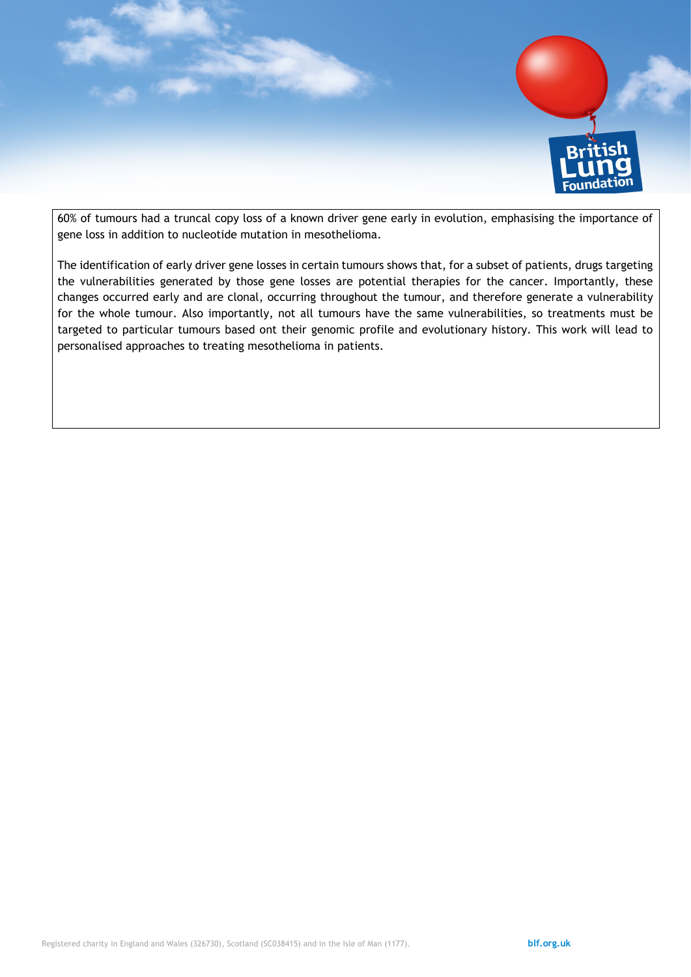

60% of tumours had a truncal copy loss of a known driver gene early in evolution, emphasising the importance of gene loss in addition to nucleotide mutation in mesothelioma.

The identification of early driver gene losses in certain tumours shows that, for a subset of patients, drugs targeting the vulnerabilities generated by those gene losses are potential therapies for the cancer. Importantly, these changes occurred early and are clonal, occurring throughout the tumour, and therefore generate a vulnerability for the whole tumour. Also importantly, not all tumours have the same vulnerabilities, so treatments must be targeted to particular tumours based ont their genomic profile and evolutionary history. This work will lead to personalised approaches to treating mesothelioma in patients.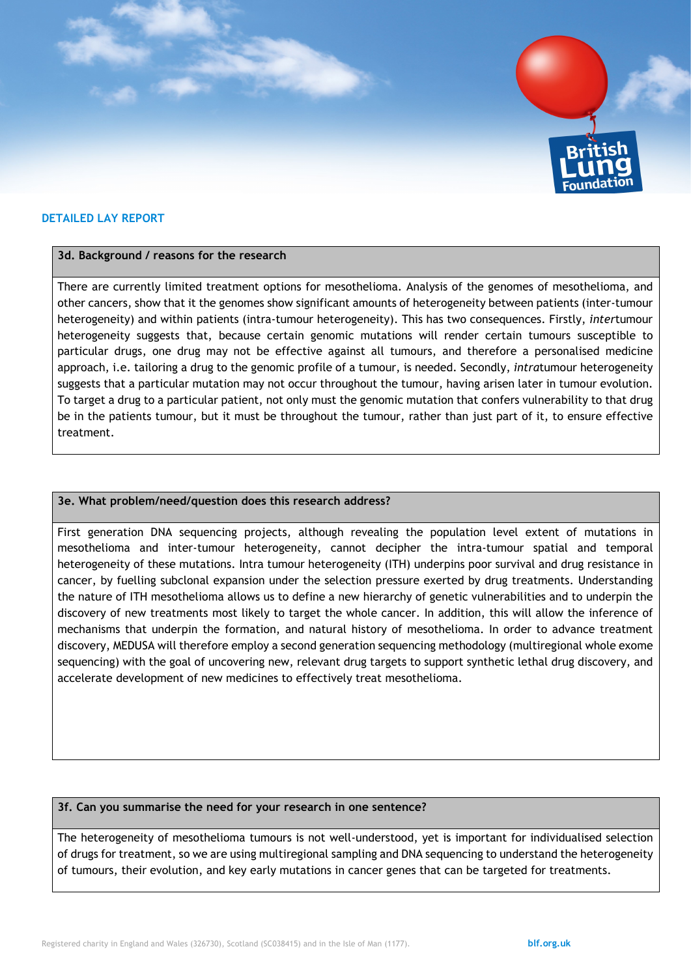

#### **DETAILED LAY REPORT**

#### **3d. Background / reasons for the research**

There are currently limited treatment options for mesothelioma. Analysis of the genomes of mesothelioma, and other cancers, show that it the genomes show significant amounts of heterogeneity between patients (inter-tumour heterogeneity) and within patients (intra-tumour heterogeneity). This has two consequences. Firstly, *inter*tumour heterogeneity suggests that, because certain genomic mutations will render certain tumours susceptible to particular drugs, one drug may not be effective against all tumours, and therefore a personalised medicine approach, i.e. tailoring a drug to the genomic profile of a tumour, is needed. Secondly, *intra*tumour heterogeneity suggests that a particular mutation may not occur throughout the tumour, having arisen later in tumour evolution. To target a drug to a particular patient, not only must the genomic mutation that confers vulnerability to that drug be in the patients tumour, but it must be throughout the tumour, rather than just part of it, to ensure effective treatment.

#### **3e. What problem/need/question does this research address?**

First generation DNA sequencing projects, although revealing the population level extent of mutations in mesothelioma and inter-tumour heterogeneity, cannot decipher the intra-tumour spatial and temporal heterogeneity of these mutations. Intra tumour heterogeneity (ITH) underpins poor survival and drug resistance in cancer, by fuelling subclonal expansion under the selection pressure exerted by drug treatments. Understanding the nature of ITH mesothelioma allows us to define a new hierarchy of genetic vulnerabilities and to underpin the discovery of new treatments most likely to target the whole cancer. In addition, this will allow the inference of mechanisms that underpin the formation, and natural history of mesothelioma. In order to advance treatment discovery, MEDUSA will therefore employ a second generation sequencing methodology (multiregional whole exome sequencing) with the goal of uncovering new, relevant drug targets to support synthetic lethal drug discovery, and accelerate development of new medicines to effectively treat mesothelioma.

#### **3f. Can you summarise the need for your research in one sentence?**

The heterogeneity of mesothelioma tumours is not well-understood, yet is important for individualised selection of drugs for treatment, so we are using multiregional sampling and DNA sequencing to understand the heterogeneity of tumours, their evolution, and key early mutations in cancer genes that can be targeted for treatments.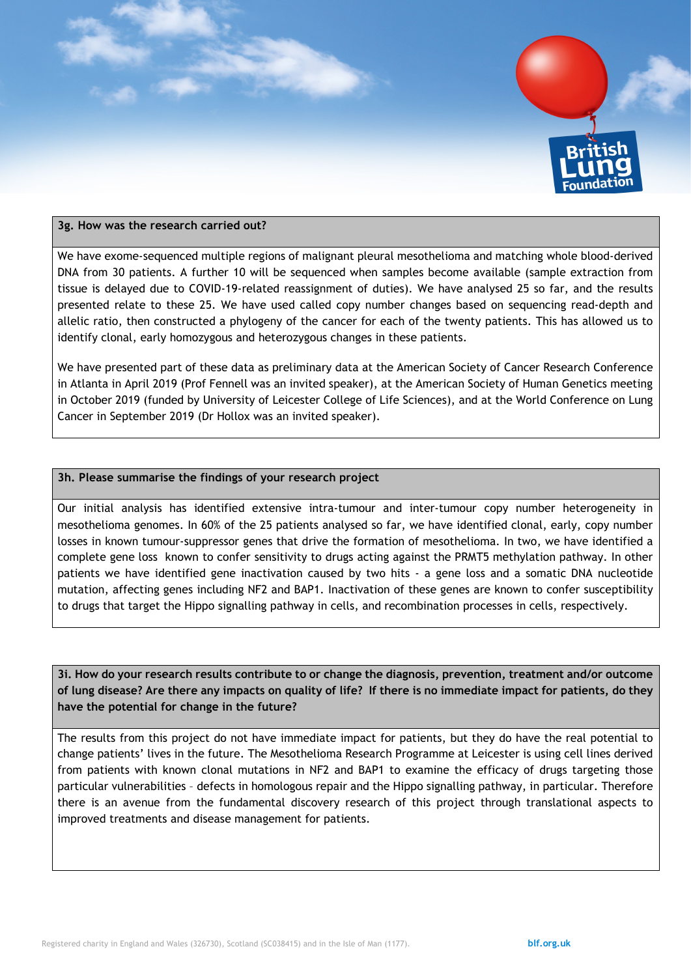

#### **3g. How was the research carried out?**

We have exome-sequenced multiple regions of malignant pleural mesothelioma and matching whole blood-derived DNA from 30 patients. A further 10 will be sequenced when samples become available (sample extraction from tissue is delayed due to COVID-19-related reassignment of duties). We have analysed 25 so far, and the results presented relate to these 25. We have used called copy number changes based on sequencing read-depth and allelic ratio, then constructed a phylogeny of the cancer for each of the twenty patients. This has allowed us to identify clonal, early homozygous and heterozygous changes in these patients.

We have presented part of these data as preliminary data at the American Society of Cancer Research Conference in Atlanta in April 2019 (Prof Fennell was an invited speaker), at the American Society of Human Genetics meeting in October 2019 (funded by University of Leicester College of Life Sciences), and at the World Conference on Lung Cancer in September 2019 (Dr Hollox was an invited speaker).

#### **3h. Please summarise the findings of your research project**

Our initial analysis has identified extensive intra-tumour and inter-tumour copy number heterogeneity in mesothelioma genomes. In 60% of the 25 patients analysed so far, we have identified clonal, early, copy number losses in known tumour-suppressor genes that drive the formation of mesothelioma. In two, we have identified a complete gene loss known to confer sensitivity to drugs acting against the PRMT5 methylation pathway. In other patients we have identified gene inactivation caused by two hits - a gene loss and a somatic DNA nucleotide mutation, affecting genes including NF2 and BAP1. Inactivation of these genes are known to confer susceptibility to drugs that target the Hippo signalling pathway in cells, and recombination processes in cells, respectively.

**3i. How do your research results contribute to or change the diagnosis, prevention, treatment and/or outcome of lung disease? Are there any impacts on quality of life? If there is no immediate impact for patients, do they have the potential for change in the future?** 

The results from this project do not have immediate impact for patients, but they do have the real potential to change patients' lives in the future. The Mesothelioma Research Programme at Leicester is using cell lines derived from patients with known clonal mutations in NF2 and BAP1 to examine the efficacy of drugs targeting those particular vulnerabilities – defects in homologous repair and the Hippo signalling pathway, in particular. Therefore there is an avenue from the fundamental discovery research of this project through translational aspects to improved treatments and disease management for patients.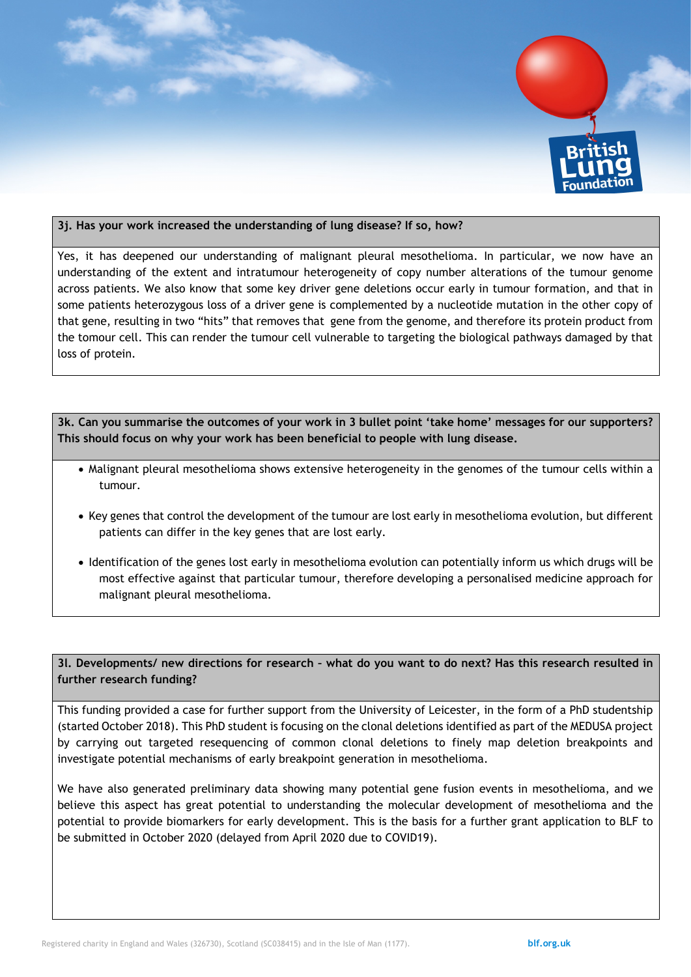

#### **3j. Has your work increased the understanding of lung disease? If so, how?**

Yes, it has deepened our understanding of malignant pleural mesothelioma. In particular, we now have an understanding of the extent and intratumour heterogeneity of copy number alterations of the tumour genome across patients. We also know that some key driver gene deletions occur early in tumour formation, and that in some patients heterozygous loss of a driver gene is complemented by a nucleotide mutation in the other copy of that gene, resulting in two "hits" that removes that gene from the genome, and therefore its protein product from the tomour cell. This can render the tumour cell vulnerable to targeting the biological pathways damaged by that loss of protein.

**3k. Can you summarise the outcomes of your work in 3 bullet point 'take home' messages for our supporters? This should focus on why your work has been beneficial to people with lung disease.** 

- Malignant pleural mesothelioma shows extensive heterogeneity in the genomes of the tumour cells within a tumour.
- Key genes that control the development of the tumour are lost early in mesothelioma evolution, but different patients can differ in the key genes that are lost early.
- Identification of the genes lost early in mesothelioma evolution can potentially inform us which drugs will be most effective against that particular tumour, therefore developing a personalised medicine approach for malignant pleural mesothelioma.

**3l. Developments/ new directions for research – what do you want to do next? Has this research resulted in further research funding?** 

This funding provided a case for further support from the University of Leicester, in the form of a PhD studentship (started October 2018). This PhD student is focusing on the clonal deletions identified as part of the MEDUSA project by carrying out targeted resequencing of common clonal deletions to finely map deletion breakpoints and investigate potential mechanisms of early breakpoint generation in mesothelioma.

We have also generated preliminary data showing many potential gene fusion events in mesothelioma, and we believe this aspect has great potential to understanding the molecular development of mesothelioma and the potential to provide biomarkers for early development. This is the basis for a further grant application to BLF to be submitted in October 2020 (delayed from April 2020 due to COVID19).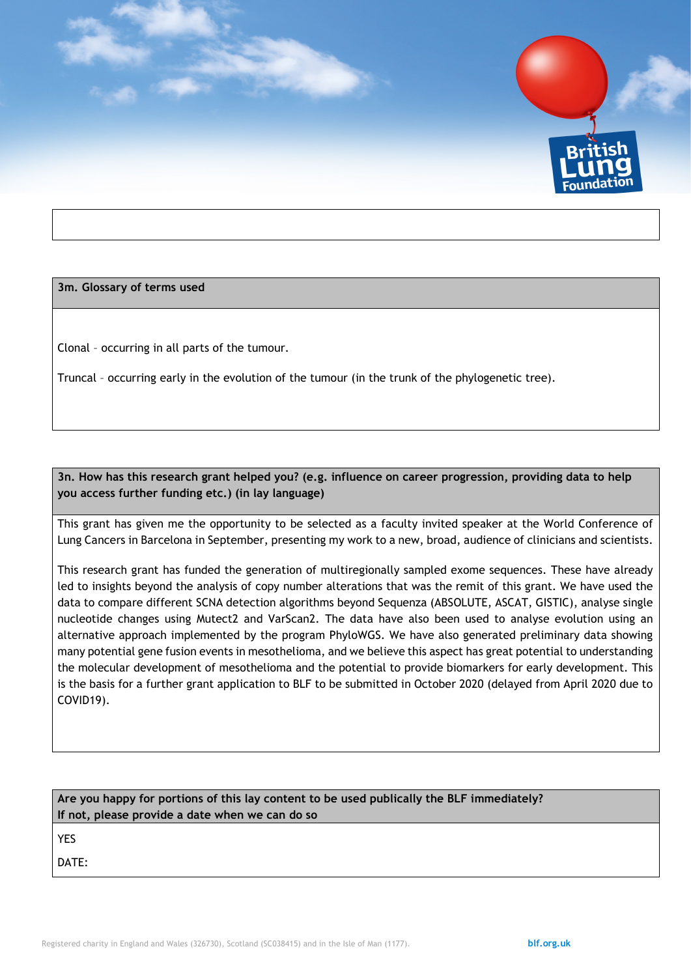

**3m. Glossary of terms used** 

Clonal – occurring in all parts of the tumour.

Truncal – occurring early in the evolution of the tumour (in the trunk of the phylogenetic tree).

**3n. How has this research grant helped you? (e.g. influence on career progression, providing data to help you access further funding etc.) (in lay language)**

This grant has given me the opportunity to be selected as a faculty invited speaker at the World Conference of Lung Cancers in Barcelona in September, presenting my work to a new, broad, audience of clinicians and scientists.

This research grant has funded the generation of multiregionally sampled exome sequences. These have already led to insights beyond the analysis of copy number alterations that was the remit of this grant. We have used the data to compare different SCNA detection algorithms beyond Sequenza (ABSOLUTE, ASCAT, GISTIC), analyse single nucleotide changes using Mutect2 and VarScan2. The data have also been used to analyse evolution using an alternative approach implemented by the program PhyloWGS. We have also generated preliminary data showing many potential gene fusion events in mesothelioma, and we believe this aspect has great potential to understanding the molecular development of mesothelioma and the potential to provide biomarkers for early development. This is the basis for a further grant application to BLF to be submitted in October 2020 (delayed from April 2020 due to COVID19).

| Are you happy for portions of this lay content to be used publically the BLF immediately?<br>If not, please provide a date when we can do so |  |  |  |  |
|----------------------------------------------------------------------------------------------------------------------------------------------|--|--|--|--|
| <b>YES</b>                                                                                                                                   |  |  |  |  |
| DATE:                                                                                                                                        |  |  |  |  |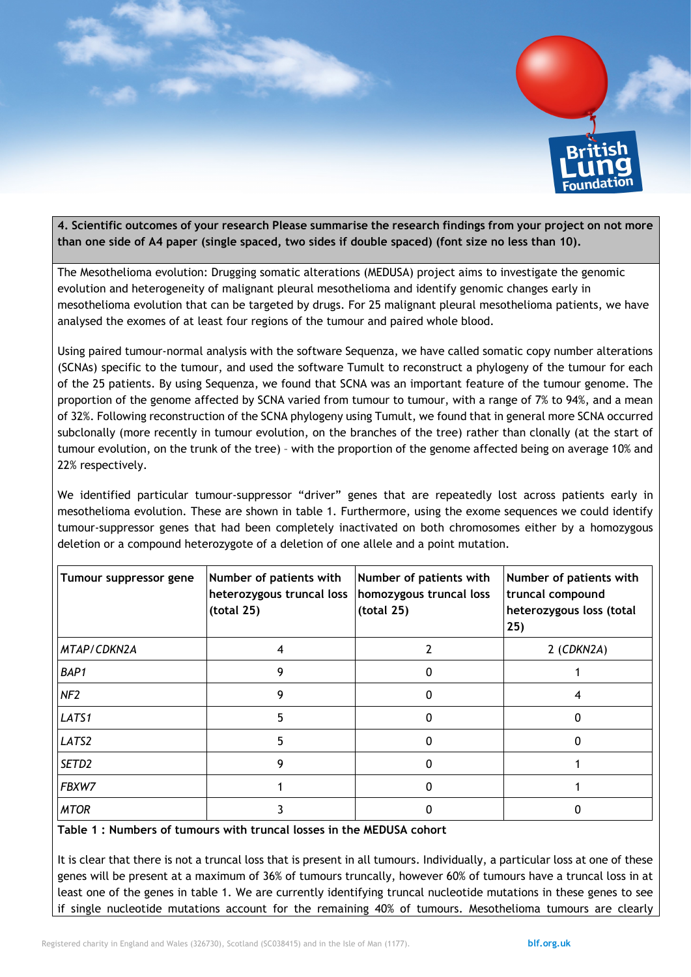

**4. Scientific outcomes of your research Please summarise the research findings from your project on not more than one side of A4 paper (single spaced, two sides if double spaced) (font size no less than 10).**

The Mesothelioma evolution: Drugging somatic alterations (MEDUSA) project aims to investigate the genomic evolution and heterogeneity of malignant pleural mesothelioma and identify genomic changes early in mesothelioma evolution that can be targeted by drugs. For 25 malignant pleural mesothelioma patients, we have analysed the exomes of at least four regions of the tumour and paired whole blood.

Using paired tumour-normal analysis with the software Sequenza, we have called somatic copy number alterations (SCNAs) specific to the tumour, and used the software Tumult to reconstruct a phylogeny of the tumour for each of the 25 patients. By using Sequenza, we found that SCNA was an important feature of the tumour genome. The proportion of the genome affected by SCNA varied from tumour to tumour, with a range of 7% to 94%, and a mean of 32%. Following reconstruction of the SCNA phylogeny using Tumult, we found that in general more SCNA occurred subclonally (more recently in tumour evolution, on the branches of the tree) rather than clonally (at the start of tumour evolution, on the trunk of the tree) – with the proportion of the genome affected being on average 10% and 22% respectively.

We identified particular tumour-suppressor "driver" genes that are repeatedly lost across patients early in mesothelioma evolution. These are shown in table 1. Furthermore, using the exome sequences we could identify tumour-suppressor genes that had been completely inactivated on both chromosomes either by a homozygous deletion or a compound heterozygote of a deletion of one allele and a point mutation.

| Tumour suppressor gene | Number of patients with<br>heterozygous truncal loss<br>(total 25) | Number of patients with<br>homozygous truncal loss<br>(total 25) | Number of patients with<br>truncal compound<br>heterozygous loss (total<br>25) |
|------------------------|--------------------------------------------------------------------|------------------------------------------------------------------|--------------------------------------------------------------------------------|
| MTAP/CDKN2A            |                                                                    |                                                                  | $2$ (CDKN2A)                                                                   |
| BAP1                   | 9                                                                  | 0                                                                |                                                                                |
| NF <sub>2</sub>        | 9                                                                  | 0                                                                |                                                                                |
| LATS1                  | 5                                                                  | 0                                                                |                                                                                |
| LATS2                  |                                                                    |                                                                  |                                                                                |
| SETD <sub>2</sub>      | 9                                                                  | 0                                                                |                                                                                |
| FBXW7                  |                                                                    | 0                                                                |                                                                                |
| <b>MTOR</b>            |                                                                    |                                                                  |                                                                                |

**Table 1 : Numbers of tumours with truncal losses in the MEDUSA cohort**

It is clear that there is not a truncal loss that is present in all tumours. Individually, a particular loss at one of these genes will be present at a maximum of 36% of tumours truncally, however 60% of tumours have a truncal loss in at least one of the genes in table 1. We are currently identifying truncal nucleotide mutations in these genes to see if single nucleotide mutations account for the remaining 40% of tumours. Mesothelioma tumours are clearly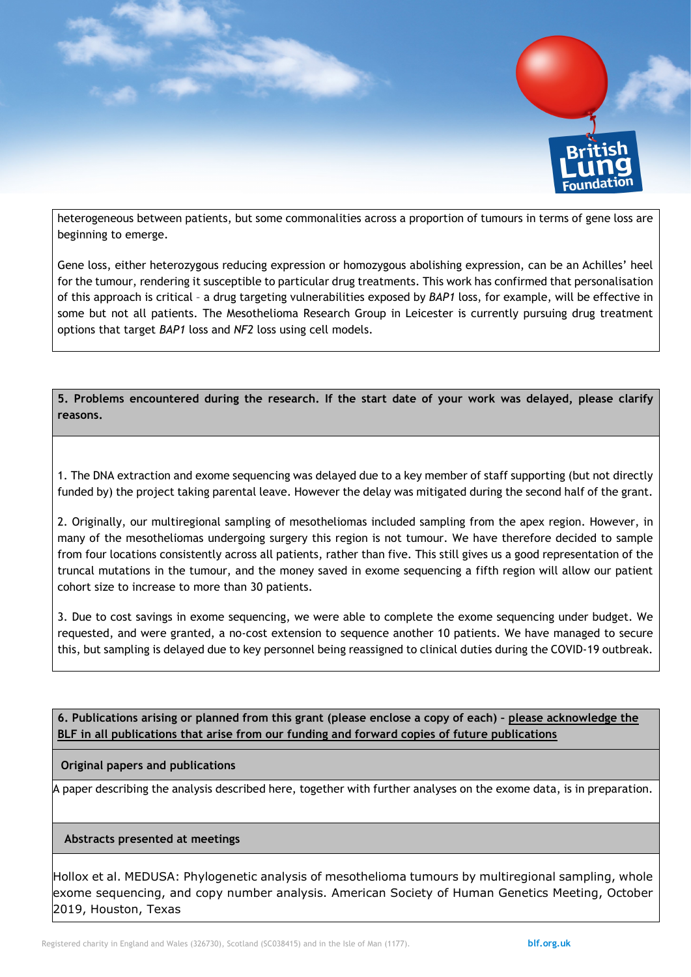

heterogeneous between patients, but some commonalities across a proportion of tumours in terms of gene loss are beginning to emerge.

Gene loss, either heterozygous reducing expression or homozygous abolishing expression, can be an Achilles' heel for the tumour, rendering it susceptible to particular drug treatments. This work has confirmed that personalisation of this approach is critical – a drug targeting vulnerabilities exposed by *BAP1* loss, for example, will be effective in some but not all patients. The Mesothelioma Research Group in Leicester is currently pursuing drug treatment options that target *BAP1* loss and *NF2* loss using cell models.

## **5. Problems encountered during the research. If the start date of your work was delayed, please clarify reasons.**

1. The DNA extraction and exome sequencing was delayed due to a key member of staff supporting (but not directly funded by) the project taking parental leave. However the delay was mitigated during the second half of the grant.

2. Originally, our multiregional sampling of mesotheliomas included sampling from the apex region. However, in many of the mesotheliomas undergoing surgery this region is not tumour. We have therefore decided to sample from four locations consistently across all patients, rather than five. This still gives us a good representation of the truncal mutations in the tumour, and the money saved in exome sequencing a fifth region will allow our patient cohort size to increase to more than 30 patients.

3. Due to cost savings in exome sequencing, we were able to complete the exome sequencing under budget. We requested, and were granted, a no-cost extension to sequence another 10 patients. We have managed to secure this, but sampling is delayed due to key personnel being reassigned to clinical duties during the COVID-19 outbreak.

**6. Publications arising or planned from this grant (please enclose a copy of each) – please acknowledge the BLF in all publications that arise from our funding and forward copies of future publications**

#### **Original papers and publications**

A paper describing the analysis described here, together with further analyses on the exome data, is in preparation.

#### **Abstracts presented at meetings**

Hollox et al. MEDUSA: Phylogenetic analysis of mesothelioma tumours by multiregional sampling, whole exome sequencing, and copy number analysis. American Society of Human Genetics Meeting, October 2019, Houston, Texas